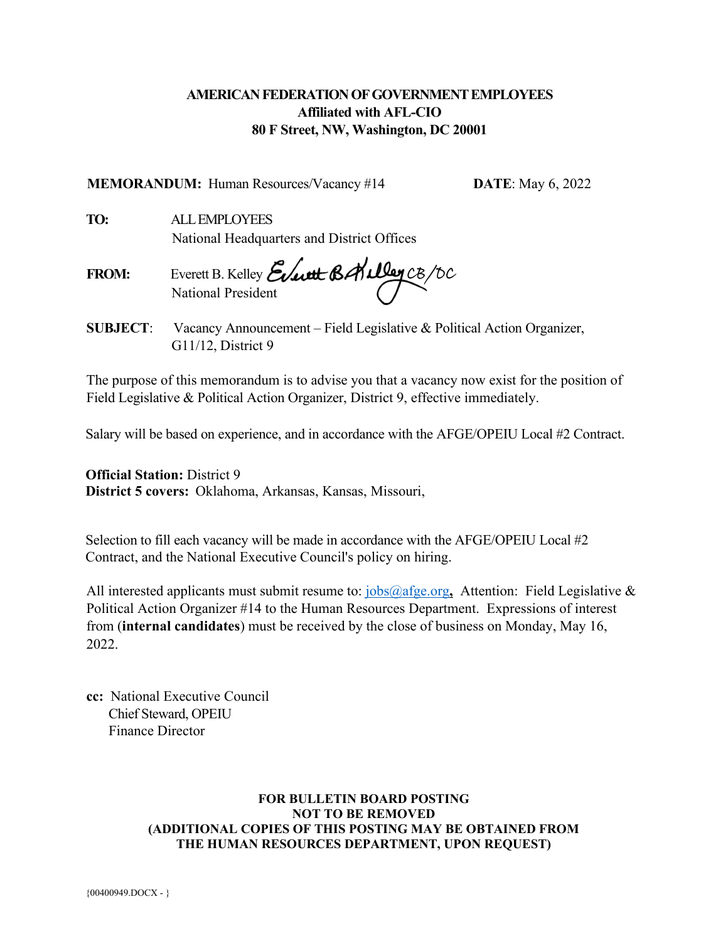## **AMERICAN FEDERATION OF GOVERNMENT EMPLOYEES Affiliated with AFL-CIO 80 F Street, NW, Washington, DC 20001**

**MEMORANDUM:** Human Resources/Vacancy #14 **DATE**: May 6, 2022

**TO:** ALL EMPLOYEES National Headquarters and District Offices

**FROM:** Everett B. Kelley National President

**SUBJECT**: Vacancy Announcement – Field Legislative & Political Action Organizer, G11/12, District 9

The purpose of this memorandum is to advise you that a vacancy now exist for the position of Field Legislative & Political Action Organizer, District 9, effective immediately.

Salary will be based on experience, and in accordance with the AFGE/OPEIU Local #2 Contract.

**Official Station:** District 9 **District 5 covers:** Oklahoma, Arkansas, Kansas, Missouri,

Selection to fill each vacancy will be made in accordance with the AFGE/OPEIU Local #2 Contract, and the National Executive Council's policy on hiring.

All interested applicants must submit resume to: [jobs@afge.org](mailto:jobs@afge.org), Attention: Field Legislative & Political Action Organizer #14 to the Human Resources Department. Expressions of interest from (**internal candidates**) must be received by the close of business on Monday, May 16, 2022

**cc:** National Executive Council Chief Steward, OPEIU Finance Director

#### **FOR BULLETIN BOARD POSTING NOT TO BE REMOVED (ADDITIONAL COPIES OF THIS POSTING MAY BE OBTAINED FROM THE HUMAN RESOURCES DEPARTMENT, UPON REQUEST)**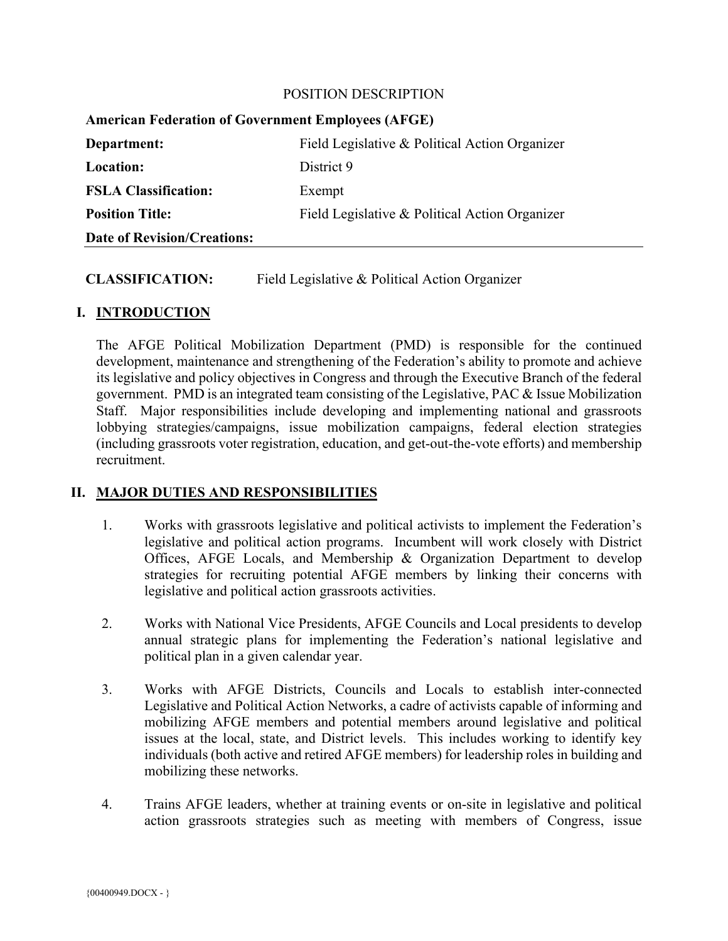#### POSITION DESCRIPTION

| <b>American Federation of Government Employees (AFGE)</b> |                                                |
|-----------------------------------------------------------|------------------------------------------------|
| Department:                                               | Field Legislative & Political Action Organizer |
| <b>Location:</b>                                          | District 9                                     |
| <b>FSLA Classification:</b>                               | Exempt                                         |
| <b>Position Title:</b>                                    | Field Legislative & Political Action Organizer |
| <b>Date of Revision/Creations:</b>                        |                                                |

### **CLASSIFICATION:** Field Legislative & Political Action Organizer

### **I. INTRODUCTION**

The AFGE Political Mobilization Department (PMD) is responsible for the continued development, maintenance and strengthening of the Federation's ability to promote and achieve its legislative and policy objectives in Congress and through the Executive Branch of the federal government. PMD is an integrated team consisting of the Legislative, PAC & Issue Mobilization Staff. Major responsibilities include developing and implementing national and grassroots lobbying strategies/campaigns, issue mobilization campaigns, federal election strategies (including grassroots voter registration, education, and get-out-the-vote efforts) and membership recruitment.

### **II. MAJOR DUTIES AND RESPONSIBILITIES**

- 1. Works with grassroots legislative and political activists to implement the Federation's legislative and political action programs. Incumbent will work closely with District Offices, AFGE Locals, and Membership & Organization Department to develop strategies for recruiting potential AFGE members by linking their concerns with legislative and political action grassroots activities.
- 2. Works with National Vice Presidents, AFGE Councils and Local presidents to develop annual strategic plans for implementing the Federation's national legislative and political plan in a given calendar year.
- 3. Works with AFGE Districts, Councils and Locals to establish inter-connected Legislative and Political Action Networks, a cadre of activists capable of informing and mobilizing AFGE members and potential members around legislative and political issues at the local, state, and District levels. This includes working to identify key individuals (both active and retired AFGE members) for leadership roles in building and mobilizing these networks.
- 4. Trains AFGE leaders, whether at training events or on-site in legislative and political action grassroots strategies such as meeting with members of Congress, issue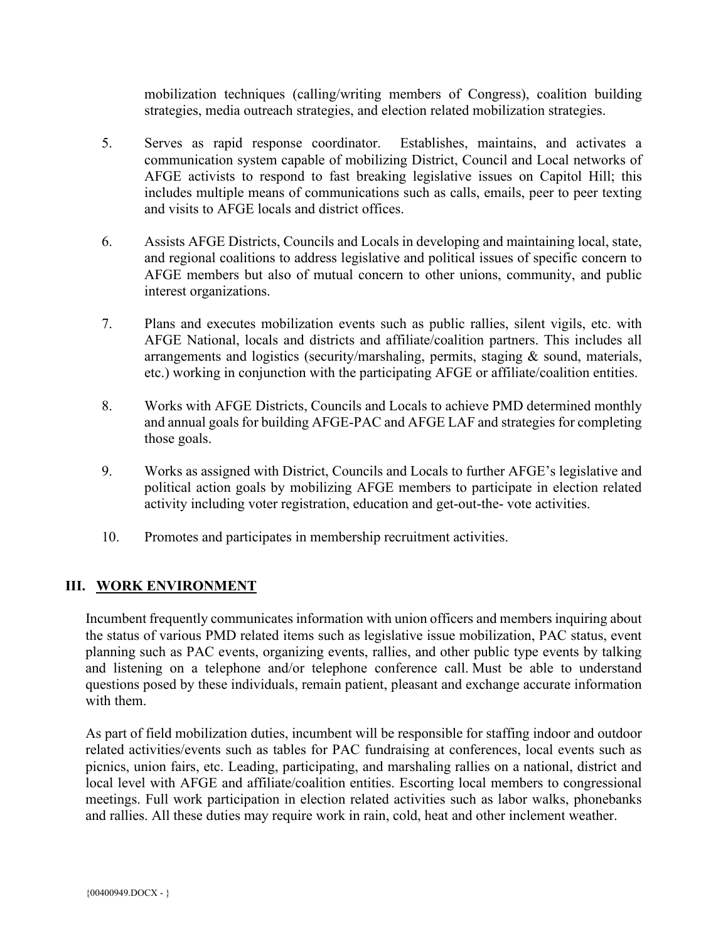mobilization techniques (calling/writing members of Congress), coalition building strategies, media outreach strategies, and election related mobilization strategies.

- 5. Serves as rapid response coordinator. Establishes, maintains, and activates a communication system capable of mobilizing District, Council and Local networks of AFGE activists to respond to fast breaking legislative issues on Capitol Hill; this includes multiple means of communications such as calls, emails, peer to peer texting and visits to AFGE locals and district offices.
- 6. Assists AFGE Districts, Councils and Locals in developing and maintaining local, state, and regional coalitions to address legislative and political issues of specific concern to AFGE members but also of mutual concern to other unions, community, and public interest organizations.
- 7. Plans and executes mobilization events such as public rallies, silent vigils, etc. with AFGE National, locals and districts and affiliate/coalition partners. This includes all arrangements and logistics (security/marshaling, permits, staging & sound, materials, etc.) working in conjunction with the participating AFGE or affiliate/coalition entities.
- 8. Works with AFGE Districts, Councils and Locals to achieve PMD determined monthly and annual goals for building AFGE-PAC and AFGE LAF and strategies for completing those goals.
- 9. Works as assigned with District, Councils and Locals to further AFGE's legislative and political action goals by mobilizing AFGE members to participate in election related activity including voter registration, education and get-out-the- vote activities.
- 10. Promotes and participates in membership recruitment activities.

### **III. WORK ENVIRONMENT**

Incumbent frequently communicates information with union officers and members inquiring about the status of various PMD related items such as legislative issue mobilization, PAC status, event planning such as PAC events, organizing events, rallies, and other public type events by talking and listening on a telephone and/or telephone conference call. Must be able to understand questions posed by these individuals, remain patient, pleasant and exchange accurate information with them.

As part of field mobilization duties, incumbent will be responsible for staffing indoor and outdoor related activities/events such as tables for PAC fundraising at conferences, local events such as picnics, union fairs, etc. Leading, participating, and marshaling rallies on a national, district and local level with AFGE and affiliate/coalition entities. Escorting local members to congressional meetings. Full work participation in election related activities such as labor walks, phonebanks and rallies. All these duties may require work in rain, cold, heat and other inclement weather.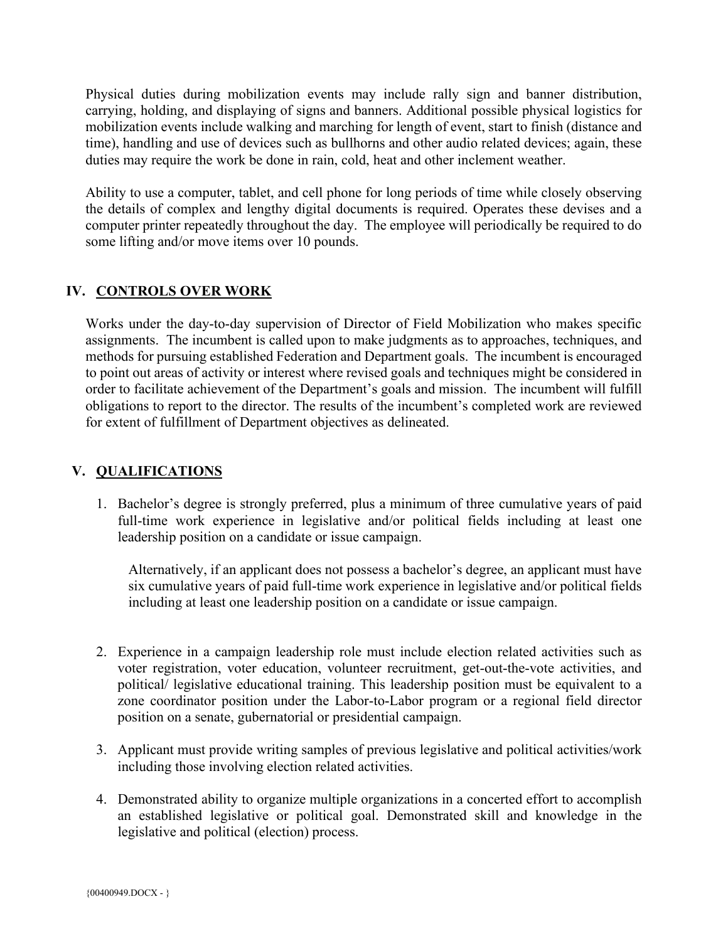Physical duties during mobilization events may include rally sign and banner distribution, carrying, holding, and displaying of signs and banners. Additional possible physical logistics for mobilization events include walking and marching for length of event, start to finish (distance and time), handling and use of devices such as bullhorns and other audio related devices; again, these duties may require the work be done in rain, cold, heat and other inclement weather.

Ability to use a computer, tablet, and cell phone for long periods of time while closely observing the details of complex and lengthy digital documents is required. Operates these devises and a computer printer repeatedly throughout the day. The employee will periodically be required to do some lifting and/or move items over 10 pounds.

## **IV. CONTROLS OVER WORK**

Works under the day-to-day supervision of Director of Field Mobilization who makes specific assignments. The incumbent is called upon to make judgments as to approaches, techniques, and methods for pursuing established Federation and Department goals. The incumbent is encouraged to point out areas of activity or interest where revised goals and techniques might be considered in order to facilitate achievement of the Department's goals and mission. The incumbent will fulfill obligations to report to the director. The results of the incumbent's completed work are reviewed for extent of fulfillment of Department objectives as delineated.

# **V. QUALIFICATIONS**

1. Bachelor's degree is strongly preferred, plus a minimum of three cumulative years of paid full-time work experience in legislative and/or political fields including at least one leadership position on a candidate or issue campaign.

Alternatively, if an applicant does not possess a bachelor's degree, an applicant must have six cumulative years of paid full-time work experience in legislative and/or political fields including at least one leadership position on a candidate or issue campaign.

- 2. Experience in a campaign leadership role must include election related activities such as voter registration, voter education, volunteer recruitment, get-out-the-vote activities, and political/ legislative educational training. This leadership position must be equivalent to a zone coordinator position under the Labor-to-Labor program or a regional field director position on a senate, gubernatorial or presidential campaign.
- 3. Applicant must provide writing samples of previous legislative and political activities/work including those involving election related activities.
- 4. Demonstrated ability to organize multiple organizations in a concerted effort to accomplish an established legislative or political goal. Demonstrated skill and knowledge in the legislative and political (election) process.